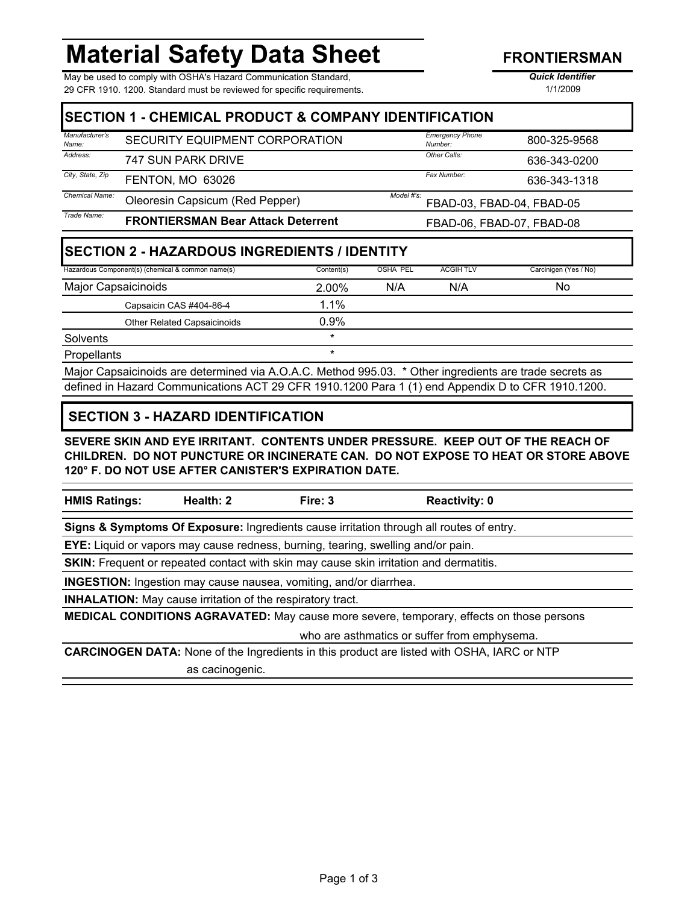# **Material Safety Data Sheet**

May be used to comply with OSHA's Hazard Communication Standard, *Quick Identifier* 29 CFR 1910. 1200. Standard must be reviewed for specific requirements.

1/1/2009

|                            | <b>ISECTION 1 - CHEMICAL PRODUCT &amp; COMPANY IDENTIFICATION</b> |            |                 |                                   |                       |
|----------------------------|-------------------------------------------------------------------|------------|-----------------|-----------------------------------|-----------------------|
| Manufacturer's<br>Name:    | SECURITY EQUIPMENT CORPORATION                                    |            |                 | <b>Emergency Phone</b><br>Number: | 800-325-9568          |
| Address:                   | 747 SUN PARK DRIVE                                                |            |                 | Other Calls:                      | 636-343-0200          |
| City, State, Zip           | FENTON, MO 63026                                                  |            |                 | Fax Number:                       | 636-343-1318          |
| Chemical Name:             | Model #'s:<br>Oleoresin Capsicum (Red Pepper)                     |            |                 | FBAD-03. FBAD-04. FBAD-05         |                       |
| Trade Name:                | <b>FRONTIERSMAN Bear Attack Deterrent</b>                         |            |                 | FBAD-06, FBAD-07, FBAD-08         |                       |
|                            | <b>SECTION 2 - HAZARDOUS INGREDIENTS / IDENTITY</b>               |            |                 |                                   |                       |
|                            | Hazardous Component(s) (chemical & common name(s)                 | Content(s) | <b>OSHA PEL</b> | <b>ACGIH TLV</b>                  | Carcinigen (Yes / No) |
| <b>Major Capsaicinoids</b> |                                                                   | 2.00%      | N/A             | N/A                               | No.                   |
|                            | Capsaicin CAS #404-86-4                                           | $1.1\%$    |                 |                                   |                       |
|                            | <b>Other Related Capsaicinoids</b>                                | 0.9%       |                 |                                   |                       |
| Solvents                   |                                                                   | $\star$    |                 |                                   |                       |

Major Capsaicinoids are determined via A.O.A.C. Method 995.03. \* Other ingredients are trade secrets as defined in Hazard Communications ACT 29 CFR 1910.1200 Para 1 (1) end Appendix D to CFR 1910.1200.

### **SECTION 3 - HAZARD IDENTIFICATION**

Propellants  $*$ 

**SEVERE SKIN AND EYE IRRITANT. CONTENTS UNDER PRESSURE. KEEP OUT OF THE REACH OF CHILDREN. DO NOT PUNCTURE OR INCINERATE CAN. DO NOT EXPOSE TO HEAT OR STORE ABOVE 120° F. DO NOT USE AFTER CANISTER'S EXPIRATION DATE.**

|  | <b>HMIS Ratin</b> |
|--|-------------------|
|--|-------------------|

**Health: 2** Fire: 3 Reactivity: 0

**Signs & Symptoms Of Exposure:** Ingredients cause irritation through all routes of entry.

**EYE:** Liquid or vapors may cause redness, burning, tearing, swelling and/or pain.

**SKIN:** Frequent or repeated contact with skin may cause skin irritation and dermatitis.

**INGESTION:** Ingestion may cause nausea, vomiting, and/or diarrhea.

**INHALATION:** May cause irritation of the respiratory tract.

**MEDICAL CONDITIONS AGRAVATED:** May cause more severe, temporary, effects on those persons

who are asthmatics or suffer from emphysema.

**CARCINOGEN DATA:** None of the Ingredients in this product are listed with OSHA, IARC or NTP as cacinogenic.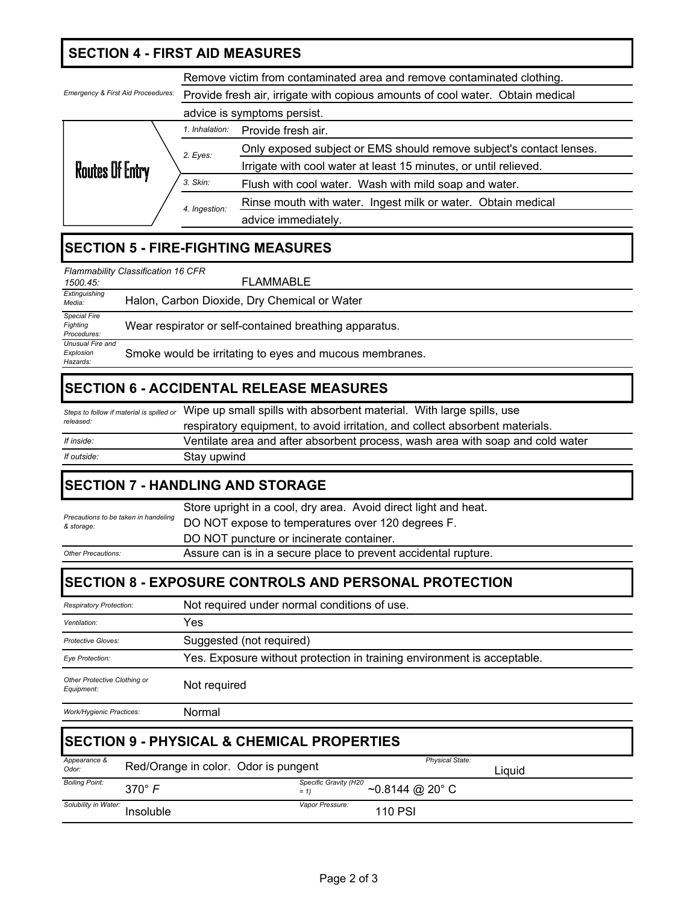## **SECTION 4 - FIRST AID MEASURES**

Remove victim from contaminated area and remove contaminated clothing.

| <b>Emergency &amp; First Aid Proceedures:</b> |                | Provide fresh air, irrigate with copious amounts of cool water. Obtain medical |  |  |
|-----------------------------------------------|----------------|--------------------------------------------------------------------------------|--|--|
|                                               |                | advice is symptoms persist.                                                    |  |  |
|                                               | 1. Inhalation: | Provide fresh air.                                                             |  |  |
|                                               | 2. Eyes:       | Only exposed subject or EMS should remove subject's contact lenses.            |  |  |
| <b>Routes Of Entry</b>                        |                | Irrigate with cool water at least 15 minutes, or until relieved.               |  |  |
|                                               | 3. Skin:       | Flush with cool water. Wash with mild soap and water.                          |  |  |
|                                               | 4. Ingestion:  | Rinse mouth with water. Ingest milk or water. Obtain medical                   |  |  |
|                                               |                | advice immediately.                                                            |  |  |

## **SECTION 5 - FIRE-FIGHTING MEASURES**

| Flammability Classification 16 CFR             |                                                         |  |  |  |  |
|------------------------------------------------|---------------------------------------------------------|--|--|--|--|
| 1500.45                                        | <b>FLAMMABLE</b>                                        |  |  |  |  |
| Extinguishing<br>Media:                        | Halon, Carbon Dioxide, Dry Chemical or Water            |  |  |  |  |
| <b>Special Fire</b><br>Fighting<br>Procedures: | Wear respirator or self-contained breathing apparatus.  |  |  |  |  |
| Unusual Fire and<br>Explosion<br>Hazards:      | Smoke would be irritating to eyes and mucous membranes. |  |  |  |  |

### **SECTION 6 - ACCIDENTAL RELEASE MEASURES**

|             | Steps to follow if material is spilled or Wipe up small spills with absorbent material. With large spills, use |
|-------------|----------------------------------------------------------------------------------------------------------------|
| released:   | respiratory equipment, to avoid irritation, and collect absorbent materials.                                   |
| If inside:  | Ventilate area and after absorbent process, wash area with soap and cold water                                 |
| If outside: | Stay upwind                                                                                                    |

## **SECTION 7 - HANDLING AND STORAGE**

|                                                                                             | Store upright in a cool, dry area. Avoid direct light and heat. |
|---------------------------------------------------------------------------------------------|-----------------------------------------------------------------|
| Precautions to be taken in handeling<br>& storage:                                          | DO NOT expose to temperatures over 120 degrees F.               |
|                                                                                             | DO NOT puncture or incinerate container.                        |
| Assure can is in a secure place to prevent accidental rupture.<br><b>Other Precautions:</b> |                                                                 |

### **SECTION 8 - EXPOSURE CONTROLS AND PERSONAL PROTECTION**

| <b>Respiratory Protection:</b>             | Not required under normal conditions of use.                            |
|--------------------------------------------|-------------------------------------------------------------------------|
| Ventilation:                               | Yes                                                                     |
| Protective Gloves:                         | Suggested (not required)                                                |
| Eye Protection:                            | Yes. Exposure without protection in training environment is acceptable. |
| Other Protective Clothing or<br>Equipment: | Not required                                                            |
| <b>Work/Hygienic Practices:</b>            | Normal                                                                  |

| <b>ISECTION 9 - PHYSICAL &amp; CHEMICAL PROPERTIES</b> |                                      |                                 |                                 |        |  |
|--------------------------------------------------------|--------------------------------------|---------------------------------|---------------------------------|--------|--|
| Appearance &<br>Odor:                                  | Red/Orange in color. Odor is pungent |                                 | <b>Physical State:</b>          | Liauid |  |
| <b>Boiling Point:</b>                                  | $370^\circ \text{ F}$                | Specific Gravity (H20<br>$= 11$ | $\sim$ 0.8144 @ 20 $^{\circ}$ C |        |  |
| Solubility in Water:                                   | Insoluble                            | Vapor Pressure:                 | <b>110 PSI</b>                  |        |  |